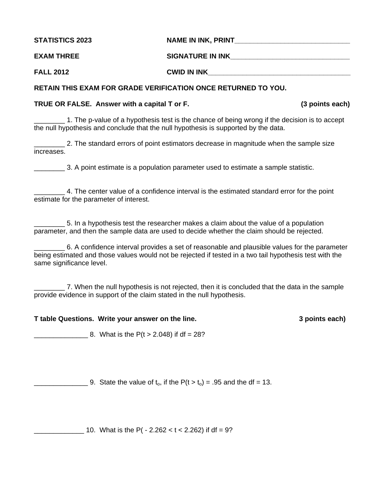**STATISTICS 2023 NAME IN INK, PRINT\_\_\_\_\_\_\_\_\_\_\_\_\_\_\_\_\_\_\_\_\_\_\_\_\_\_\_\_\_\_** 

| <b>EXAM THREE</b> | <b>SIGNATURE IN INK</b> |
|-------------------|-------------------------|
|                   |                         |

**FALL 2012 CWID IN INK\_\_\_\_\_\_\_\_\_\_\_\_\_\_\_\_\_\_\_\_\_\_\_\_\_\_\_\_\_\_\_\_\_\_\_\_\_** 

# **RETAIN THIS EXAM FOR GRADE VERIFICATION ONCE RETURNED TO YOU.**

# **TRUE OR FALSE. Answer with a capital T or F. (3 points each)**

\_\_\_\_\_\_\_\_ 1. The p-value of a hypothesis test is the chance of being wrong if the decision is to accept the null hypothesis and conclude that the null hypothesis is supported by the data.

\_\_\_\_\_\_\_\_ 2. The standard errors of point estimators decrease in magnitude when the sample size increases.

\_\_\_\_\_\_\_\_ 3. A point estimate is a population parameter used to estimate a sample statistic.

\_\_\_\_\_\_\_\_ 4. The center value of a confidence interval is the estimated standard error for the point estimate for the parameter of interest.

\_\_\_\_\_\_\_\_ 5. In a hypothesis test the researcher makes a claim about the value of a population parameter, and then the sample data are used to decide whether the claim should be rejected.

\_\_\_\_\_\_\_\_ 6. A confidence interval provides a set of reasonable and plausible values for the parameter being estimated and those values would not be rejected if tested in a two tail hypothesis test with the same significance level.

\_\_\_\_\_\_\_\_ 7. When the null hypothesis is not rejected, then it is concluded that the data in the sample provide evidence in support of the claim stated in the null hypothesis.

## **T table Questions. Write your answer on the line. 3 points each)**

 $\frac{1}{2}$  8. What is the P(t > 2.048) if df = 28?

9. State the value of  $t_0$ , if the  $P(t > t_0) = .95$  and the df = 13.

10. What is the P(  $- 2.262 < t < 2.262$ ) if df = 9?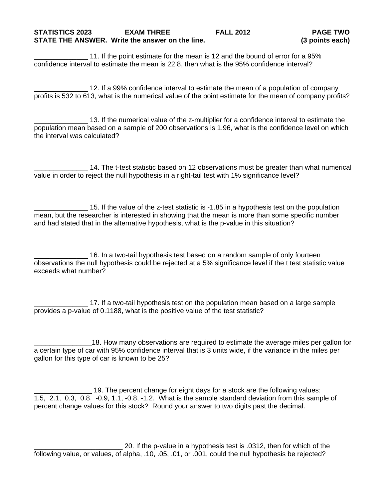11. If the point estimate for the mean is 12 and the bound of error for a 95% confidence interval to estimate the mean is 22.8, then what is the 95% confidence interval?

\_\_\_\_\_\_\_\_\_\_\_\_\_\_ 12. If a 99% confidence interval to estimate the mean of a population of company profits is 532 to 613, what is the numerical value of the point estimate for the mean of company profits?

\_\_\_\_\_\_\_\_\_\_\_\_\_\_ 13. If the numerical value of the z-multiplier for a confidence interval to estimate the population mean based on a sample of 200 observations is 1.96, what is the confidence level on which the interval was calculated?

\_\_\_\_\_\_\_\_\_\_\_\_\_\_ 14. The t-test statistic based on 12 observations must be greater than what numerical value in order to reject the null hypothesis in a right-tail test with 1% significance level?

 $\_$  15. If the value of the z-test statistic is -1.85 in a hypothesis test on the population mean, but the researcher is interested in showing that the mean is more than some specific number and had stated that in the alternative hypothesis, what is the p-value in this situation?

\_\_\_\_\_\_\_\_\_\_\_\_\_\_ 16. In a two-tail hypothesis test based on a random sample of only fourteen observations the null hypothesis could be rejected at a 5% significance level if the t test statistic value exceeds what number?

17. If a two-tail hypothesis test on the population mean based on a large sample provides a p-value of 0.1188, what is the positive value of the test statistic?

18. How many observations are required to estimate the average miles per gallon for a certain type of car with 95% confidence interval that is 3 units wide, if the variance in the miles per gallon for this type of car is known to be 25?

\_\_\_\_\_\_\_\_\_\_\_\_\_\_\_ 19. The percent change for eight days for a stock are the following values: 1.5, 2.1, 0.3, 0.8, -0.9, 1.1, -0.8, -1.2. What is the sample standard deviation from this sample of percent change values for this stock? Round your answer to two digits past the decimal.

20. If the p-value in a hypothesis test is .0312, then for which of the following value, or values, of alpha, .10, .05, .01, or .001, could the null hypothesis be rejected?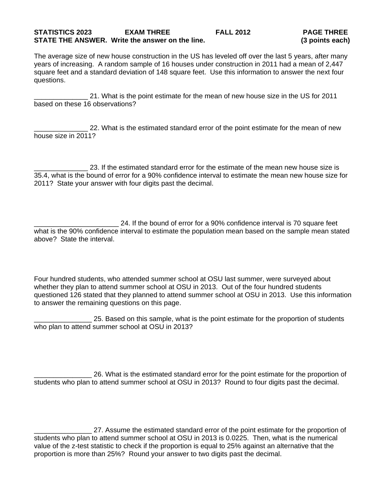### **STATISTICS 2023 EXAM THREE FALL 2012 PAGE THREE STATE THE ANSWER. Write the answer on the line. (3 points each)**

The average size of new house construction in the US has leveled off over the last 5 years, after many years of increasing. A random sample of 16 houses under construction in 2011 had a mean of 2,447 square feet and a standard deviation of 148 square feet. Use this information to answer the next four questions.

\_\_\_\_\_\_\_\_\_\_\_\_\_\_ 21. What is the point estimate for the mean of new house size in the US for 2011 based on these 16 observations?

22. What is the estimated standard error of the point estimate for the mean of new house size in 2011?

\_\_\_\_\_\_\_\_\_\_\_\_\_\_ 23. If the estimated standard error for the estimate of the mean new house size is 35.4, what is the bound of error for a 90% confidence interval to estimate the mean new house size for 2011? State your answer with four digits past the decimal.

24. If the bound of error for a 90% confidence interval is 70 square feet what is the 90% confidence interval to estimate the population mean based on the sample mean stated above? State the interval.

Four hundred students, who attended summer school at OSU last summer, were surveyed about whether they plan to attend summer school at OSU in 2013. Out of the four hundred students questioned 126 stated that they planned to attend summer school at OSU in 2013. Use this information to answer the remaining questions on this page.

\_\_\_\_\_\_\_\_\_\_\_\_\_\_\_ 25. Based on this sample, what is the point estimate for the proportion of students who plan to attend summer school at OSU in 2013?

\_\_\_\_\_\_\_\_\_\_\_\_\_\_\_ 26. What is the estimated standard error for the point estimate for the proportion of students who plan to attend summer school at OSU in 2013? Round to four digits past the decimal.

27. Assume the estimated standard error of the point estimate for the proportion of students who plan to attend summer school at OSU in 2013 is 0.0225. Then, what is the numerical value of the z-test statistic to check if the proportion is equal to 25% against an alternative that the proportion is more than 25%? Round your answer to two digits past the decimal.